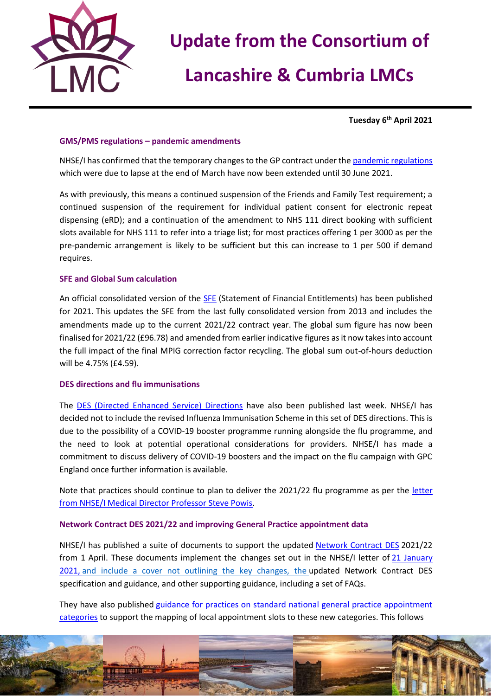

## **Update from the Consortium of**

## **Lancashire & Cumbria LMCs**

**Tuesday 6 th April 2021**

#### **GMS/PMS regulations – pandemic amendments**

NHSE/I has confirmed that the temporary changes to the GP contract under the [pandemic regulations](https://www.legislation.gov.uk/uksi/2020/351/made) which were due to lapse at the end of March have now been extended until 30 June 2021.

As with previously, this means a continued suspension of the Friends and Family Test requirement; a continued suspension of the requirement for individual patient consent for electronic repeat dispensing (eRD); and a continuation of the amendment to NHS 111 direct booking with sufficient slots available for NHS 111 to refer into a triage list; for most practices offering 1 per 3000 as per the pre-pandemic arrangement is likely to be sufficient but this can increase to 1 per 500 if demand requires.

#### **SFE and Global Sum calculation**

An official consolidated version of the [SFE](https://assets.publishing.service.gov.uk/government/uploads/system/uploads/attachment_data/file/975395/GMS_SFE_2021.pdf) (Statement of Financial Entitlements) has been published for 2021. This updates the SFE from the last fully consolidated version from 2013 and includes the amendments made up to the current 2021/22 contract year. The global sum figure has now been finalised for 2021/22 (£96.78) and amended from earlier indicative figures as it now takes into account the full impact of the final MPIG correction factor recycling. The global sum out-of-hours deduction will be 4.75% (£4.59).

### **DES directions and flu immunisations**

The [DES \(Directed Enhanced Service\) Directions](https://www.gov.uk/government/publications/nhs-primary-medical-services-directions-2013) have also been published last week. NHSE/I has decided not to include the revised Influenza Immunisation Scheme in this set of DES directions. This is due to the possibility of a COVID-19 booster programme running alongside the flu programme, and the need to look at potential operational considerations for providers. NHSE/I has made a commitment to discuss delivery of COVID-19 boosters and the impact on the flu campaign with GPC England once further information is available.

Note that practices should continue to plan to deliver the 2021/22 flu programme as per the [letter](https://www.england.nhs.uk/wp-content/uploads/2021/02/C1076-nhsei-flu-reimbursement-letter-3-feb-21.pdf)  [from NHSE/I Medical Director Professor Steve Powis.](https://www.england.nhs.uk/wp-content/uploads/2021/02/C1076-nhsei-flu-reimbursement-letter-3-feb-21.pdf)

### **Network Contract DES 2021/22 and improving General Practice appointment data**

NHSE/I has published a suite of documents to support the updated [Network Contract DES](https://www.england.nhs.uk/gp/investment/gp-contract/#des-21-22) 2021/22 from 1 April. These documents implement the changes set out in the NHSE/I letter of 21 January [2021,](http://tracking.vuelio.co.uk/tracking/click?d=HgqS_Mx1iIY6YegCcwb5-ETZDB1_aGaae4FoPkUi2Hr-QT47lAPNVXIZkUYCTDl4pyZUNIW3Q9Ppr2pBxgkzqjP5BmoFH74OPnp0ctQdfTX76Z0J2Y7c8Y3Xk4nuKVvozgNViFGPIKii0cZhBxFagcuOmpFcRmerjuPCMnSNR-DPplWCJ222Qc9JGFIcUOPRXJvnLE04Ac4PzN0cEC7yhc57a7Jl8b3dx72DQlEYTbVpzBPLfdp67mYQKqNv3H5P0KN9PiaQ9Iu3kJWRWPcGPFCFpvrZ99kr-DHMLSPMjayajCbZfHH7hU0Y0mPcSYmE3QP3EDz4Qgf92yZapGDnm4PZM6SRioBMBXWcevYXcLzIUfoes__XwGNoJ0iSbCSDs1wtPtyAVBoMCKuI-7heSV2cXSCbYl25ZQU0w4tSA5M23wAQ5eBbrSiWx_mioijRRw2) and include a cover not outlining the key changes, the updated Network Contract DES specification and guidance, and other supporting guidance, including a set of FAQs.

They have also published [guidance for practices on standard national general practice appointment](http://tracking.vuelio.co.uk/tracking/click?d=HgqS_Mx1iIY6YegCcwb5-ETZDB1_aGaae4FoPkUi2Hr-QT47lAPNVXIZkUYCTDl4Efc4pdskA3zIx7UpQDeBLQcZSvzy_DVyeshVpdz8kVky12K7Gdvd3bgNRA1CsdVOaitfY9PVYoh97jnRpQAwENfKHovl3BJHfn4bILTP7oN_uEkdh4RYQglnqJGmc4N4uSZ9233vcBhf974lLKSr0AWaxk4bb_x3ci_RFMBOhm7EfmJg_zGbiGKpyj-ihQy84bV3N7aqaHOXBmRHdxMnypWMysSRC5ZauFaV5Xo_LWkt2cP5FQ2H810NDkeq6_XY--QKYbXiqOGEBK-EFWbrgNCBrWdAGNSEcXDKNgsiZriAvbgurnZo61hq7H5d-9P3i6Vjj24nmlM3EVMt3no2NOjNfsca6g4mXjnn0hEDMn7CvjZ1xVZUX6vNoqustPS-mQ2)  [categories](http://tracking.vuelio.co.uk/tracking/click?d=HgqS_Mx1iIY6YegCcwb5-ETZDB1_aGaae4FoPkUi2Hr-QT47lAPNVXIZkUYCTDl4Efc4pdskA3zIx7UpQDeBLQcZSvzy_DVyeshVpdz8kVky12K7Gdvd3bgNRA1CsdVOaitfY9PVYoh97jnRpQAwENfKHovl3BJHfn4bILTP7oN_uEkdh4RYQglnqJGmc4N4uSZ9233vcBhf974lLKSr0AWaxk4bb_x3ci_RFMBOhm7EfmJg_zGbiGKpyj-ihQy84bV3N7aqaHOXBmRHdxMnypWMysSRC5ZauFaV5Xo_LWkt2cP5FQ2H810NDkeq6_XY--QKYbXiqOGEBK-EFWbrgNCBrWdAGNSEcXDKNgsiZriAvbgurnZo61hq7H5d-9P3i6Vjj24nmlM3EVMt3no2NOjNfsca6g4mXjnn0hEDMn7CvjZ1xVZUX6vNoqustPS-mQ2) to support the mapping of local appointment slots to these new categories. This follows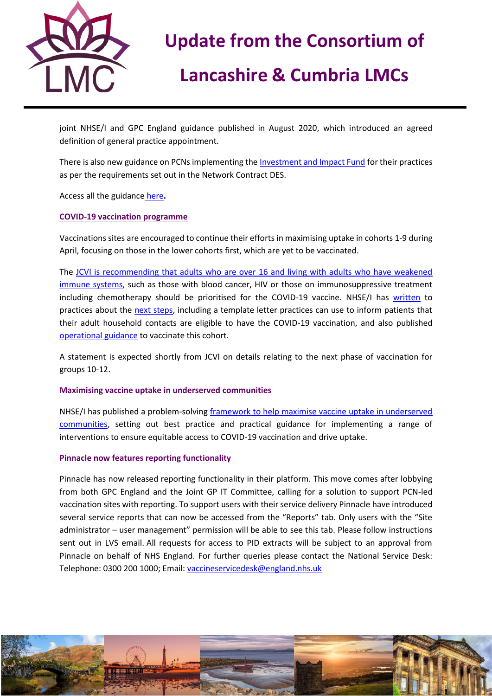

# **Update from the Consortium of**

## **Lancashire & Cumbria LMCs**

joint NHSE/I and GPC England guidance published in August 2020, which introduced an agreed definition of general practice appointment.

There is also new guidance on PCNs implementing the [Investment and Impact Fund](http://tracking.vuelio.co.uk/tracking/click?d=5vy-UT2i5wRROjm0vNX-mtykcjDDZzODmKw4CWWF--_l4V3TQcg9vI2HvEcYjlo22XKB-jFXuk0VvPGIwD9gy0RRoqAjs5s8BXy0o46DExkKteQjpTRBnzTOgiMIGLPgzupbEeHb1V9bfLtvCknuQgR4XxfZUxdoIWUTeztL3HejbEt2YNzwc6G_CyCnvQXTOCQ9k4Qv8xct7MN0uCL770nSWW6HwK09H393_oaOPz2YztA4RmQo--rWP_wEfxA4Ld7mFTmqNubZeIKs-54Ae7DgH2o9443ac25R7yGxgI8fn_5BDHARwQcKVfBow9cBew2_gcPhQJZglvU1LBBZF36EIm3KlMEJiUafRv3yQkyzar5-F6hU4KknxJp68X2cLUQETl-XblTBL6IbbiZ29tFGiy5NY6WSfOzAcZJp2eso7P16VSW3hZwEbDxhzQMzsQGPuvNT6zK-GaLibwXAuh4t7SwX_3dva64dbXr9UDbi0) for their practices as per the requirements set out in the Network Contract DES.

Access all the guidance [here](https://www.england.nhs.uk/gp/investment/gp-contract/)**.** 

### **COVID-19 vaccination programme**

Vaccinations sites are encouraged to continue their efforts in maximising uptake in cohorts 1-9 during April, focusing on those in the lower cohorts first, which are yet to be vaccinated.

The [JCVI is recommending that adults who are over 16 and living with adults who have weakened](https://www.gov.uk/government/news/new-vaccine-advice-for-adults-living-with-adults-who-are-immunosuppressed)  [immune systems,](https://www.gov.uk/government/news/new-vaccine-advice-for-adults-living-with-adults-who-are-immunosuppressed) such as those with blood cancer, HIV or those on immunosuppressive treatment including chemotherapy should be prioritised for the COVID-19 vaccine. NHSE/I has [written](https://www.england.nhs.uk/coronavirus/publication/vaccination-of-adult-household-contacts-of-severely-immunosuppressed-individuals-alongside-jcvi-priority-cohort-6-and-completion-of-cohorts-1-9/) to practices about the [next steps,](https://www.england.nhs.uk/coronavirus/publication/vaccination-of-adult-household-contacts-of-severely-immunosuppressed-individuals-alongside-jcvi-priority-cohort-6-and-completion-of-cohorts-1-9/) including a template letter practices can use to inform patients that their adult household contacts are eligible to have the COVID-19 vaccination, and also published [operational guidance](https://www.england.nhs.uk/coronavirus/publication/jcvi-cohort-6-adult-household-contacts-of-adults-with-severe-immunosuppression-operational-guide/) to vaccinate this cohort.

A statement is expected shortly from JCVI on details relating to the next phase of vaccination for groups 10-12.

#### **Maximising vaccine uptake in underserved communities**

NHSE/I has published a problem-solving [framework to help maximise vaccine uptake in underserved](https://www.england.nhs.uk/coronavirus/publication/maximising-vaccine-uptake-in-underserved-communities-a-framework/)  [communities,](https://www.england.nhs.uk/coronavirus/publication/maximising-vaccine-uptake-in-underserved-communities-a-framework/) setting out best practice and practical guidance for implementing a range of interventions to ensure equitable access to COVID-19 vaccination and drive uptake.

### **Pinnacle now features reporting functionality**

Pinnacle has now released reporting functionality in their platform. This move comes after lobbying from both GPC England and the Joint GP IT Committee, calling for a solution to support PCN-led vaccination sites with reporting. To support users with their service delivery Pinnacle have introduced several service reports that can now be accessed from the "Reports" tab. Only users with the "Site administrator – user management" permission will be able to see this tab. Please follow instructions sent out in LVS email. All requests for access to PID extracts will be subject to an approval from Pinnacle on behalf of NHS England. For further queries please contact the National Service Desk: Telephone: 0300 200 1000; Email[: vaccineservicedesk@england.nhs.uk](mailto:vaccineservicedesk@england.nhs.uk)